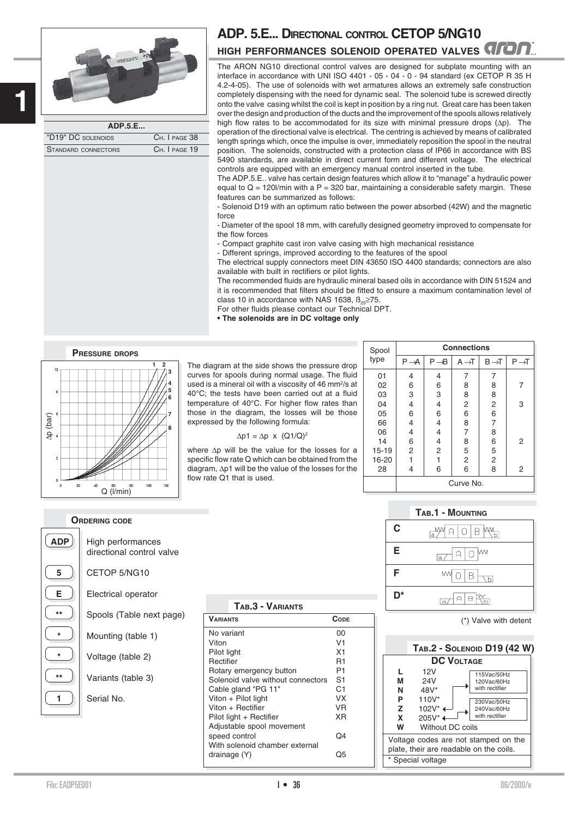



| ADP.5.E             |               |
|---------------------|---------------|
| "D19" DC SOLENOIDS  | CH. I PAGE 38 |
| STANDARD CONNECTORS | CH. I PAGE 19 |

## **ADP. 5.E... DIRECTIONAL CONTROL CETOP 5/NG10 HIGH PERFORMANCES SOLENOID OPERATED VALVES**

The ARON NG10 directional control valves are designed for subplate mounting with an interface in accordance with UNI ISO 4401 - 05 - 04 - 0 - 94 standard (ex CETOP R 35 H 4.2-4-05). The use of solenoids with wet armatures allows an extremely safe construction completely dispensing with the need for dynamic seal. The solenoid tube is screwed directly onto the valve casing whilst the coil is kept in position by a ring nut. Great care has been taken over the design and production of the ducts and the improvement of the spools allows relatively high flow rates to be accommodated for its size with minimal pressure drops (∆p). The operation of the directional valve is electrical. The centring is achieved by means of calibrated length springs which, once the impulse is over, immediately reposition the spool in the neutral position. The solenoids, constructed with a protection class of IP66 in accordance with BS 5490 standards, are available in direct current form and different voltage. The electrical controls are equipped with an emergency manual control inserted in the tube.

The ADP.5.E.. valve has certain design features which allow it to "manage" a hydraulic power equal to  $Q = 120$ //min with a P = 320 bar, maintaining a considerable safety margin. These features can be summarized as follows:

- Solenoid D19 with an optimum ratio between the power absorbed (42W) and the magnetic force

- Diameter of the spool 18 mm, with carefully designed geometry improved to compensate for the flow forces

- Compact graphite cast iron valve casing with high mechanical resistance

- Different springs, improved according to the features of the spool

The electrical supply connectors meet DIN 43650 ISO 4400 standards; connectors are also available with built in rectifiers or pilot lights.

The recommended fluids are hydraulic mineral based oils in accordance with DIN 51524 and it is recommended that filters should be fitted to ensure a maximum contamination level of class 10 in accordance with NAS 1638,  $\beta_{0.005}$  275.

For other fluids please contact our Technical DPT.

**• The solenoids are in DC voltage only**



The diagram at the side shows the pressure drop curves for spools during normal usage. The fluid used is a mineral oil with a viscosity of 46 mm<sup>2</sup>/s at 40°C; the tests have been carried out at a fluid temperature of 40°C. For higher flow rates than those in the diagram, the losses will be those expressed by the following formula:

 $\Delta p1 = \Delta p \times (Q1/Q)^2$ 

| Spool     | <b>Connections</b> |                   |                   |                   |                   |  |  |
|-----------|--------------------|-------------------|-------------------|-------------------|-------------------|--|--|
| type      | $P \rightarrow A$  | $P \rightarrow B$ | $A \rightarrow T$ | $B \rightarrow T$ | $P \rightarrow T$ |  |  |
| 01        | 4                  | 4                 | 7                 | 7                 |                   |  |  |
| 02        | 6                  | 6                 | 8                 | 8                 | 7                 |  |  |
| 03        | 3                  | 3                 | 8                 | 8                 |                   |  |  |
| 04        | 4                  | 4                 | $\overline{c}$    | $\overline{2}$    | 3                 |  |  |
| 05        | 6                  | 6                 | 6                 | 6                 |                   |  |  |
| 66        | 4                  | 4                 | 8                 | 7                 |                   |  |  |
| 06        | 4                  | 4                 | 7                 | 8                 |                   |  |  |
| 14        | 6                  | 4                 | 8                 | 6                 | 2                 |  |  |
| $15 - 19$ | 2                  | 2                 | 5                 | 5                 |                   |  |  |
| 16-20     | 1                  | 1                 | $\overline{2}$    | $\overline{c}$    |                   |  |  |
| 28        | 4                  | 6                 | 6                 | 8                 | 2                 |  |  |
|           | Curve No.          |                   |                   |                   |                   |  |  |

|    | <b>TAB.1 - MOUNTING</b> |
|----|-------------------------|
| C  | M<br>П<br>A O B<br>'a ' |
| E  | $A 0 ^{W}$<br>a         |
| F  | мŊ<br>0 B               |
| D* |                         |

(\*) Valve with detent



## **ORDERING CODE**

| <b>DP</b><br>Δ |  |  |
|----------------|--|--|
| 5              |  |  |
| F              |  |  |
|                |  |  |
|                |  |  |
|                |  |  |
|                |  |  |
|                |  |  |
|                |  |  |

directional control valve

**5** CETOP 5/NG10

**E** Electrical operator

**\*** Mounting (table 1)

**\*** Voltage (table 2)

**\*\*** Variants (table 3)

**1** Serial No.

Spools (Table next page)

**High performances** 

**TAB.3 - VARIANTS VARIANTS CODE** No variant 00<br>Viton V1 Viton V1<br>Pilot light V1<br>X1 Pilot light Rectifier R1<br>Rotary emergency button R1 Rotary emergency button Solenoid valve without connectors S1 Cable gland "PG 11" C1<br>Viton + Pilot light  $VX$ Viton + Pilot light VX<br>Viton + Rectifier VR Viton + Rectifier Pilot light + Rectifier XR Adjustable spool movement speed control CO<sub>4</sub> With solenoid chamber external drainage (Y) Q5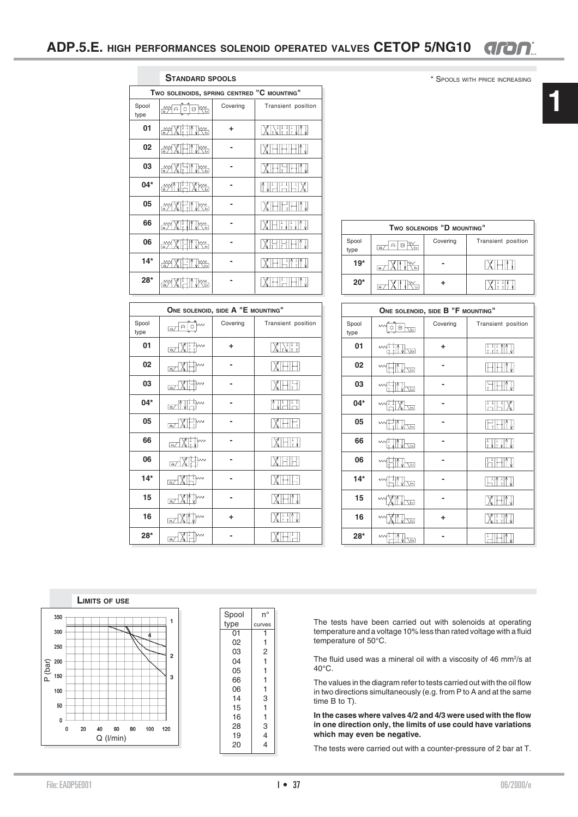## **ADP.5.E. HIGH PERFORMANCES SOLENOID OPERATED VALVES CETOP 5/NG10** GRON

\* SPOOLS WITH PRICE INCREASING

| <b>STANDARD SPOOLS</b> |                                            |          |                    |  |  |
|------------------------|--------------------------------------------|----------|--------------------|--|--|
|                        | TWO SOLENOIDS, SPRING CENTRED "C MOUNTING" |          |                    |  |  |
| Spool<br>type          | ₩비이타₩                                      | Covering | Transient position |  |  |
| 01                     | <u>eyXHTMes</u>                            | ÷        | $\frac{1}{1}$      |  |  |
| 02                     | J <del>ys</del><br>₩                       |          |                    |  |  |
| 03                     | J <del>i</del> m<br>₩                      |          |                    |  |  |
| 04*                    | <u>¥YNHXK </u>                             |          |                    |  |  |
| 05                     | ⋒⋛<br>Tira                                 |          |                    |  |  |
| 66                     | J <del>iya</del><br>₩                      |          |                    |  |  |
| 06                     | <u>Neg</u><br>₩                            |          |                    |  |  |
| $14*$                  | ₩X<br><u>INes</u>                          |          |                    |  |  |
| $28*$                  | ₩                                          |          |                    |  |  |

| TWO SOLENOIDS "D MOUNTING" |                                                          |  |  |  |
|----------------------------|----------------------------------------------------------|--|--|--|
| Spool<br>type              | Covering<br>Transient position<br>R<br>£<br>$\mathbf{a}$ |  |  |  |
| $19*$                      | $\blacksquare$                                           |  |  |  |
| $20*$                      | $\overline{a}$                                           |  |  |  |

|               | ONE SOLENOID, SIDE A "E MOUNTING"                   |          |                                    |  |  |
|---------------|-----------------------------------------------------|----------|------------------------------------|--|--|
| Spool<br>type | М<br>$\mathop{\cap}$<br>$\overline{a}$              | Covering | Transient position                 |  |  |
| 01            | RIIM<br>Mi<br>$\overline{a}$                        | ÷        |                                    |  |  |
| 02            | $\sim$<br>$\overline{a}$                            |          |                                    |  |  |
| 03            | ↝<br>$\overline{\mathsf{a}}$                        |          |                                    |  |  |
| 04*           | $\mathbb{Z}$ $\mathbb{N}^{\mathbb{N}}$ $\mathbb{N}$ |          | Ţ<br>ļ                             |  |  |
| 05            | e/XH)~                                              |          |                                    |  |  |
| 66            | e/XII                                               |          | $\big\ _{\mathbb{L}}^{\mathbb{L}}$ |  |  |
| 06            | W,<br>a/                                            |          | XHI                                |  |  |
| $14*$         | $\Box$                                              |          |                                    |  |  |
| 15            | $\boxed{a}$                                         |          |                                    |  |  |
| 16            | $\overline{\mathsf{a}}$                             | ٠        | $X_{\text{H}}$                     |  |  |
| $28*$         | M<br>$\overline{a}$                                 |          |                                    |  |  |

| ONE SOLENOID, SIDE B "F MOUNTING" |                   |          |                                           |  |
|-----------------------------------|-------------------|----------|-------------------------------------------|--|
| Spool<br>type                     | М<br>$B \sqrt{P}$ | Covering | Transient position                        |  |
| 01                                | $\mathsf{M}$<br>同 | ÷        | $\frac{1}{1}$ $\frac{1}{1}$ $\frac{1}{1}$ |  |
| 02                                | Μ<br>同            |          |                                           |  |
| 03                                | ↜<br>Ţд           |          |                                           |  |
| $04*$                             | M.<br>囸           |          | $\frac{1}{2}$                             |  |
| 05                                | M<br>同            |          |                                           |  |
| 66                                | w<br>히            |          | T<br>T<br>L.                              |  |
| 06                                | $\sim$<br>ᆔ       |          |                                           |  |
| $14*$                             | М<br>Œ            |          | $\frac{1}{\tau}$                          |  |
| 15                                | ŢР                |          |                                           |  |
| 16                                | M<br>靣            | ٠        |                                           |  |
| $28*$                             | w<br>ᆔ            |          |                                           |  |



| Spool | n°                      |
|-------|-------------------------|
| type  | curves                  |
| 01    | 1                       |
| 02    | 1                       |
| 03    | 2                       |
| 04    | 1                       |
| 05    | 1                       |
| 66    | 1                       |
| 06    | 1                       |
| 14    | 3                       |
| 15    | 1                       |
| 16    | 1                       |
| 28    | 3                       |
| 19    | 4                       |
| 20    |                         |
|       | $\overline{\mathbf{4}}$ |

The tests have been carried out with solenoids at operating temperature and a voltage 10% less than rated voltage with a fluid temperature of 50°C.

The fluid used was a mineral oil with a viscosity of 46 mm<sup>2</sup>/s at 40°C.

The values in the diagram refer to tests carried out with the oil flow in two directions simultaneously (e.g. from P to A and at the same time B to T).

**In the cases where valves 4/2 and 4/3 were used with the flow in one direction only, the limits of use could have variations which may even be negative.**

The tests were carried out with a counter-pressure of 2 bar at T.